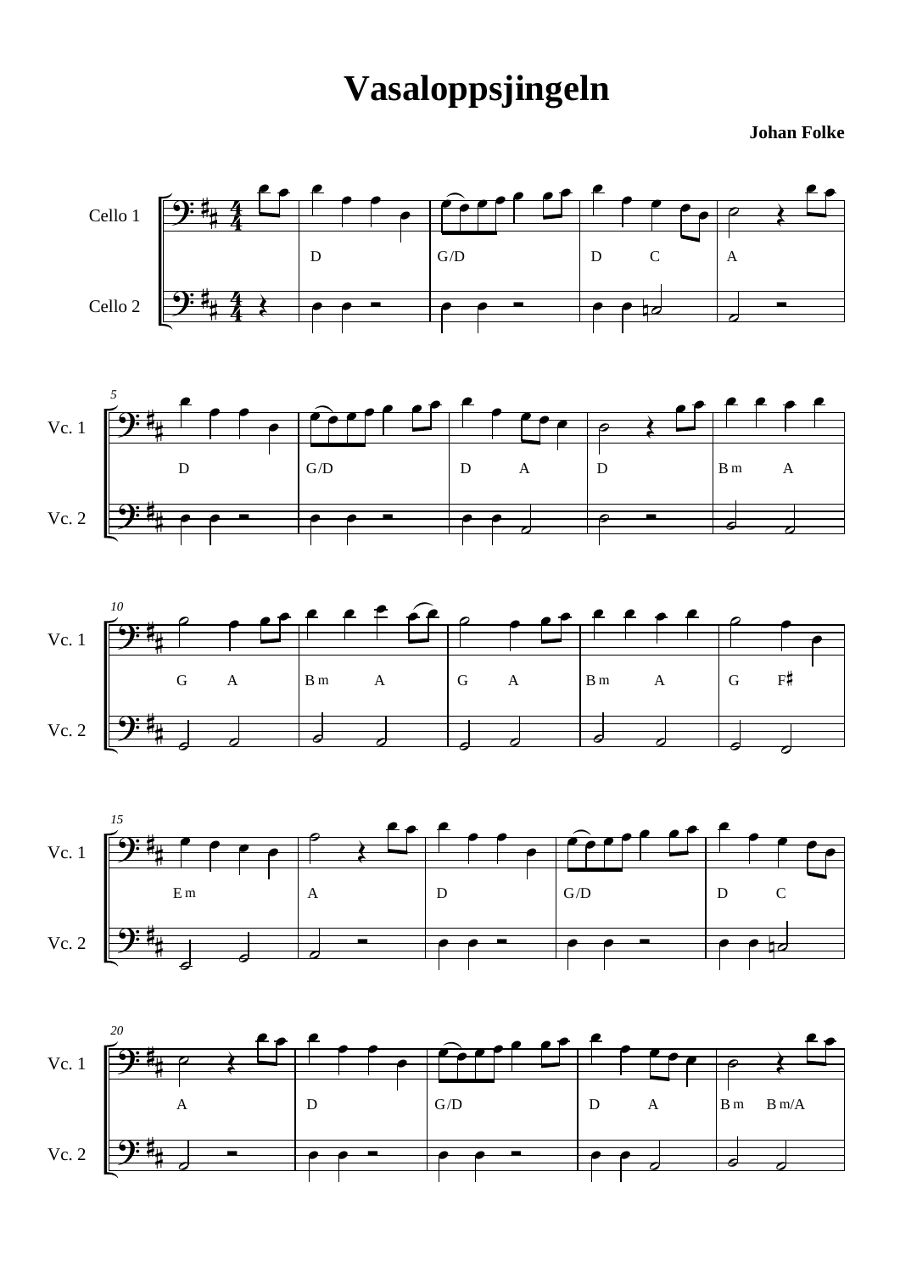## **Vasaloppsjingeln**

**Johan Folke**